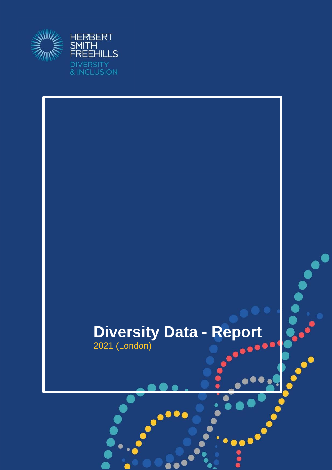

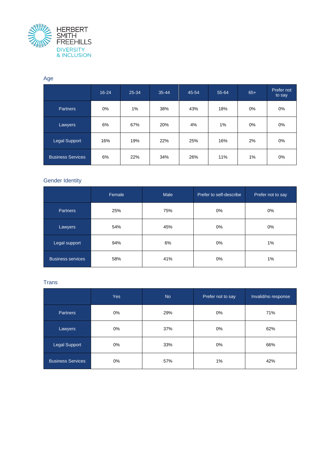

#### Age

|                          | $16 - 24$ | 25-34 | $35 - 44$ | 45-54 | 55-64 | $65+$ | Prefer not<br>to say |
|--------------------------|-----------|-------|-----------|-------|-------|-------|----------------------|
| <b>Partners</b>          | 0%        | 1%    | 38%       | 43%   | 18%   | 0%    | $0\%$                |
| Lawyers                  | 6%        | 67%   | 20%       | 4%    | 1%    | $0\%$ | $0\%$                |
| <b>Legal Support</b>     | 16%       | 19%   | 22%       | 25%   | 16%   | 2%    | $0\%$                |
| <b>Business Services</b> | 6%        | 22%   | 34%       | 26%   | 11%   | 1%    | $0\%$                |

#### Gender Identity

|                          | Female | Male | Prefer to self-describe | Prefer not to say |
|--------------------------|--------|------|-------------------------|-------------------|
| <b>Partners</b>          | 25%    | 75%  | 0%                      | 0%                |
| Lawyers                  | 54%    | 45%  | 0%                      | 0%                |
| Legal support            | 94%    | 6%   | $0\%$                   | 1%                |
| <b>Business services</b> | 58%    | 41%  | 0%                      | 1%                |

#### **Trans**

|                          | <b>Yes</b> | <b>No</b> | Prefer not to say | Invalid/no response |
|--------------------------|------------|-----------|-------------------|---------------------|
| Partners                 | 0%         | 29%       | $0\%$             | 71%                 |
| Lawyers                  | $0\%$      | 37%       | $0\%$             | 62%                 |
| Legal Support            | 0%         | 33%       | 0%                | 66%                 |
| <b>Business Services</b> | $0\%$      | 57%       | 1%                | 42%                 |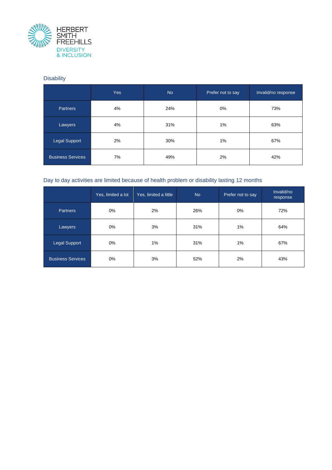

# **Disability**

|                          | Yes | <b>No</b> | Prefer not to say | Invalid/no response |
|--------------------------|-----|-----------|-------------------|---------------------|
| <b>Partners</b>          | 4%  | 24%       | 0%                | 73%                 |
| Lawyers                  | 4%  | 31%       | 1%                | 63%                 |
| Legal Support            | 2%  | 30%       | 1%                | 67%                 |
| <b>Business Services</b> | 7%  | 49%       | 2%                | 42%                 |

## Day to day activities are limited because of health problem or disability lasting 12 months

|                          | Yes, limited a lot | Yes, limited a little | <b>No</b> | Prefer not to say | Invalid/no<br>response |
|--------------------------|--------------------|-----------------------|-----------|-------------------|------------------------|
| <b>Partners</b>          | $0\%$              | 2%                    | 26%       | $0\%$             | 72%                    |
| Lawyers                  | 0%                 | 3%                    | 31%       | 1%                | 64%                    |
| Legal Support            | $0\%$              | 1%                    | 31%       | 1%                | 67%                    |
| <b>Business Services</b> | 0%                 | 3%                    | 52%       | 2%                | 43%                    |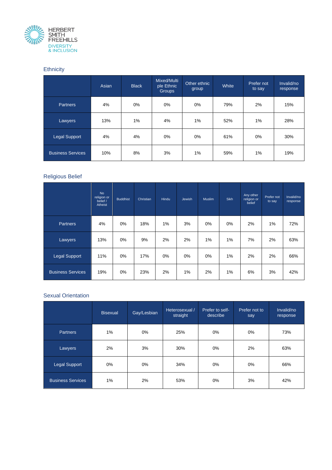

## **Ethnicity**

|                          | Asian | <b>Black</b> | Mixed/Multi<br>ple Ethnic<br><b>Groups</b> | Other ethnic<br>group | White | Prefer not<br>to say | Invalid/no<br>response |
|--------------------------|-------|--------------|--------------------------------------------|-----------------------|-------|----------------------|------------------------|
| <b>Partners</b>          | 4%    | $0\%$        | $0\%$                                      | $0\%$                 | 79%   | 2%                   | 15%                    |
| Lawyers                  | 13%   | 1%           | 4%                                         | 1%                    | 52%   | 1%                   | 28%                    |
| Legal Support            | 4%    | 4%           | $0\%$                                      | $0\%$                 | 61%   | $0\%$                | 30%                    |
| <b>Business Services</b> | 10%   | 8%           | 3%                                         | 1%                    | 59%   | 1%                   | 19%                    |

## Religious Belief

|                          | <b>No</b><br>religion or<br>belief /<br>Atheist | <b>Buddhist</b> | Christian | <b>Hindu</b> | Jewish | <b>Muslim</b> | Sikh  | Any other<br>religion or<br>belief | Prefer not<br>to say | Invalid/no<br>response |
|--------------------------|-------------------------------------------------|-----------------|-----------|--------------|--------|---------------|-------|------------------------------------|----------------------|------------------------|
| <b>Partners</b>          | 4%                                              | 0%              | 18%       | 1%           | 3%     | 0%            | $0\%$ | 2%                                 | 1%                   | 72%                    |
| Lawyers                  | 13%                                             | $0\%$           | 9%        | 2%           | 2%     | 1%            | $1\%$ | 7%                                 | 2%                   | 63%                    |
| Legal Support            | 11%                                             | $0\%$           | 17%       | $0\%$        | 0%     | $0\%$         | 1%    | 2%                                 | 2%                   | 66%                    |
| <b>Business Services</b> | 19%                                             | 0%              | 23%       | 2%           | 1%     | 2%            | 1%    | 6%                                 | 3%                   | 42%                    |

#### Sexual Orientation

|                          | <b>Bisexual</b> | Gay/Lesbian | Heterosexual /<br>straight | Prefer to self-<br>describe | Prefer not to<br>say | Invalid/no<br>response |
|--------------------------|-----------------|-------------|----------------------------|-----------------------------|----------------------|------------------------|
| <b>Partners</b>          | 1%              | $0\%$       | 25%                        | 0%                          | $0\%$                | 73%                    |
| Lawyers                  | 2%              | 3%          | 30%                        | $0\%$                       | 2%                   | 63%                    |
| <b>Legal Support</b>     | $0\%$           | $0\%$       | 34%                        | 0%                          | $0\%$                | 66%                    |
| <b>Business Services</b> | 1%              | 2%          | 53%                        | $0\%$                       | 3%                   | 42%                    |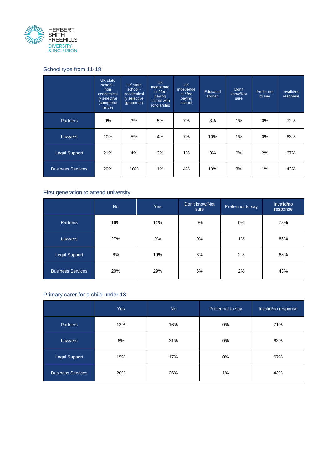

# School type from 11-18

|                          | UK state<br>school -<br>non<br>academical<br>ly selective<br>(comprehe<br>nsive) | UK state<br>school -<br>academical<br>ly selective<br>(grammar) | <b>UK</b><br>independe<br>$nt$ / fee<br>paying<br>school with<br>scholarship | <b>UK</b><br>independe<br>nt/fee<br>paying<br>school | Educated<br>abroad | Don't<br>know/Not<br>sure | Prefer not<br>to say | Invalid/no<br>response |
|--------------------------|----------------------------------------------------------------------------------|-----------------------------------------------------------------|------------------------------------------------------------------------------|------------------------------------------------------|--------------------|---------------------------|----------------------|------------------------|
| <b>Partners</b>          | 9%                                                                               | 3%                                                              | 5%                                                                           | 7%                                                   | 3%                 | 1%                        | 0%                   | 72%                    |
| Lawyers                  | 10%                                                                              | 5%                                                              | 4%                                                                           | 7%                                                   | 10%                | $1\%$                     | 0%                   | 63%                    |
| <b>Legal Support</b>     | 21%                                                                              | 4%                                                              | 2%                                                                           | 1%                                                   | 3%                 | $0\%$                     | 2%                   | 67%                    |
| <b>Business Services</b> | 29%                                                                              | 10%                                                             | 1%                                                                           | 4%                                                   | 10%                | 3%                        | 1%                   | 43%                    |

## First generation to attend university

|                          | <b>No</b> | <b>Yes</b> | Don't know/Not<br>sure | Prefer not to say | Invalid/no<br>response |
|--------------------------|-----------|------------|------------------------|-------------------|------------------------|
| <b>Partners</b>          | 16%       | 11%        | $0\%$                  | $0\%$             | 73%                    |
| Lawyers                  | 27%       | 9%         | 0%                     | 1%                | 63%                    |
| Legal Support            | 6%        | 19%        | 6%                     | 2%                | 68%                    |
| <b>Business Services</b> | 20%       | 29%        | 6%                     | 2%                | 43%                    |

# Primary carer for a child under 18

|                          | <b>Yes</b> | <b>No</b> | Prefer not to say | Invalid/no response |
|--------------------------|------------|-----------|-------------------|---------------------|
| <b>Partners</b>          | 13%        | 16%       | 0%                | 71%                 |
| Lawyers                  | 6%         | 31%       | $0\%$             | 63%                 |
| Legal Support            | 15%        | 17%       | $0\%$             | 67%                 |
| <b>Business Services</b> | 20%        | 36%       | 1%                | 43%                 |